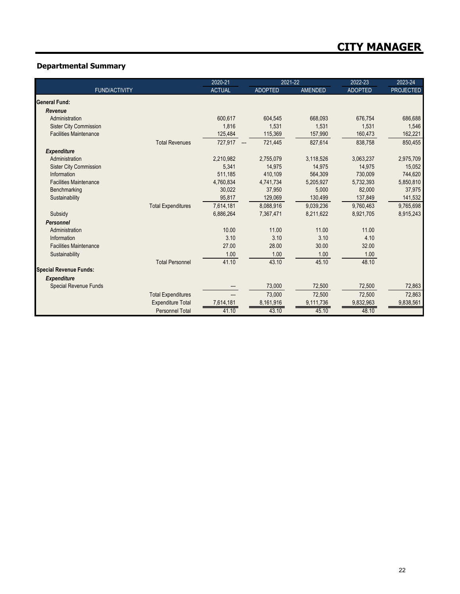## **Departmental Summary**

|                               | 2020-21       |                | 2021-22        | 2022-23        | 2023-24          |
|-------------------------------|---------------|----------------|----------------|----------------|------------------|
| <b>FUND/ACTIVITY</b>          | <b>ACTUAL</b> | <b>ADOPTED</b> | <b>AMENDED</b> | <b>ADOPTED</b> | <b>PROJECTED</b> |
| General Fund:                 |               |                |                |                |                  |
| Revenue                       |               |                |                |                |                  |
| Administration                | 600,617       | 604,545        | 668,093        | 676,754        | 686,688          |
| <b>Sister City Commission</b> | 1,816         | 1,531          | 1,531          | 1,531          | 1,546            |
| <b>Facilities Maintenance</b> | 125,484       | 115,369        | 157,990        | 160,473        | 162,221          |
| <b>Total Revenues</b>         | 727,917 ---   | 721,445        | 827,614        | 838,758        | 850,455          |
| <b>Expenditure</b>            |               |                |                |                |                  |
| Administration                | 2,210,982     | 2,755,079      | 3,118,526      | 3,063,237      | 2,975,709        |
| <b>Sister City Commission</b> | 5,341         | 14,975         | 14,975         | 14,975         | 15,052           |
| Information                   | 511,185       | 410.109        | 564,309        | 730.009        | 744,620          |
| <b>Facilities Maintenance</b> | 4,760,834     | 4,741,734      | 5,205,927      | 5,732,393      | 5,850,810        |
| Benchmarking                  | 30,022        | 37,950         | 5,000          | 82,000         | 37,975           |
| Sustainability                | 95,817        | 129,069        | 130,499        | 137,849        | 141,532          |
| <b>Total Expenditures</b>     | 7,614,181     | 8,088,916      | 9,039,236      | 9,760,463      | 9,765,698        |
| Subsidy                       | 6,886,264     | 7,367,471      | 8,211,622      | 8,921,705      | 8,915,243        |
| <b>Personnel</b>              |               |                |                |                |                  |
| Administration                | 10.00         | 11.00          | 11.00          | 11.00          |                  |
| Information                   | 3.10          | 3.10           | 3.10           | 4.10           |                  |
| <b>Facilities Maintenance</b> | 27.00         | 28.00          | 30.00          | 32.00          |                  |
| Sustainability                | 1.00          | 1.00           | 1.00           | 1.00           |                  |
| <b>Total Personnel</b>        | 41.10         | 43.10          | 45.10          | 48.10          |                  |
| <b>Special Revenue Funds:</b> |               |                |                |                |                  |
| <b>Expenditure</b>            |               |                |                |                |                  |
| <b>Special Revenue Funds</b>  |               | 73,000         | 72,500         | 72,500         | 72,863           |
| <b>Total Expenditures</b>     |               | 73,000         | 72,500         | 72,500         | 72,863           |
| <b>Expenditure Total</b>      | 7,614,181     | 8,161,916      | 9,111,736      | 9,832,963      | 9,838,561        |
| <b>Personnel Total</b>        | 41.10         | 43.10          | 45.10          | 48.10          |                  |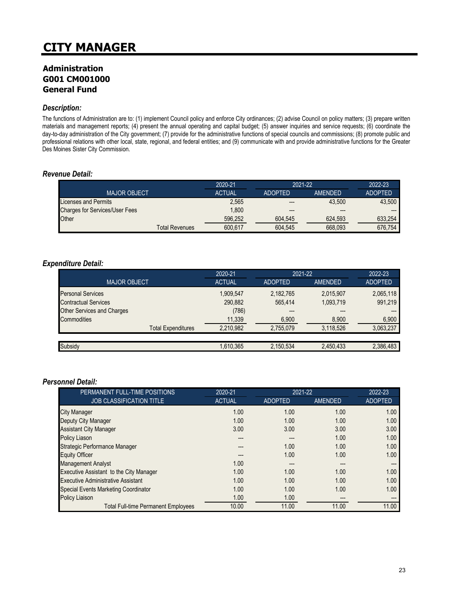## **Administration G001 CM001000 General Fund**

#### *Description:*

The functions of Administration are to: (1) implement Council policy and enforce City ordinances; (2) advise Council on policy matters; (3) prepare written materials and management reports; (4) present the annual operating and capital budget; (5) answer inquiries and service requests; (6) coordinate the day-to-day administration of the City government; (7) provide for the administrative functions of special councils and commissions; (8) promote public and professional relations with other local, state, regional, and federal entities; and (9) communicate with and provide administrative functions for the Greater Des Moines Sister City Commission.

#### *Revenue Detail:*

|                                       | 2020-21       | 2021-22        |         | 2022-23        |
|---------------------------------------|---------------|----------------|---------|----------------|
| <b>MAJOR OBJECT</b>                   | <b>ACTUAL</b> | <b>ADOPTED</b> | AMENDED | <b>ADOPTED</b> |
| <b>Licenses and Permits</b>           | 2,565         | ---            | 43.500  | 43.500         |
| <b>Charges for Services/User Fees</b> | 1.800         | ---            | ---     |                |
| Other                                 | 596.252       | 604.545        | 624.593 | 633.254        |
| Total Revenues                        | 600.617       | 604.545        | 668.093 | 676.754        |

#### *Expenditure Detail:*

|                                   | 2020-21       | 2021-22        |                | 2022-23        |
|-----------------------------------|---------------|----------------|----------------|----------------|
| <b>MAJOR OBJECT</b>               | <b>ACTUAL</b> | <b>ADOPTED</b> | <b>AMENDED</b> | <b>ADOPTED</b> |
| <b>Personal Services</b>          | 1,909,547     | 2,182,765      | 2,015,907      | 2,065,118      |
| <b>Contractual Services</b>       | 290,882       | 565.414        | 1,093,719      | 991,219        |
| <b>Other Services and Charges</b> | (786)         | ---            | ---            |                |
| <b>Commodities</b>                | 11,339        | 6,900          | 8,900          | 6,900          |
| <b>Total Expenditures</b>         | 2.210.982     | 2,755,079      | 3,118,526      | 3,063,237      |
|                                   |               |                |                |                |
| Subsidy                           | 1,610,365     | 2,150,534      | 2,450,433      | 2,386,483      |

#### *Personnel Detail:*

| PERMANENT FULL-TIME POSITIONS               | 2020-21       | 2021-22        |                | 2022-23        |
|---------------------------------------------|---------------|----------------|----------------|----------------|
| <b>JOB CLASSIFICATION TITLE</b>             | <b>ACTUAL</b> | <b>ADOPTED</b> | <b>AMENDED</b> | <b>ADOPTED</b> |
| City Manager                                | 1.00          | 1.00           | 1.00           | 1.00           |
| Deputy City Manager                         | 1.00          | 1.00           | 1.00           | 1.00           |
| <b>Assistant City Manager</b>               | 3.00          | 3.00           | 3.00           | 3.00           |
| <b>Policy Liason</b>                        |               |                | 1.00           | 1.00           |
| Strategic Performance Manager               | ---           | 1.00           | 1.00           | 1.00           |
| <b>Equity Officer</b>                       |               | 1.00           | 1.00           | 1.00           |
| <b>Management Analyst</b>                   | 1.00          | ---            | ---            | ---            |
| Executive Assistant to the City Manager     | 1.00          | 1.00           | 1.00           | 1.00           |
| <b>Executive Administrative Assistant</b>   | 1.00          | 1.00           | 1.00           | 1.00           |
| <b>Special Events Marketing Coordinator</b> | 1.00          | 1.00           | 1.00           | 1.00           |
| Policy Liaison                              | 1.00          | 1.00           | $---$          | ---            |
| <b>Total Full-time Permanent Employees</b>  | 10.00         | 11.00          | 11.00          | 11.00          |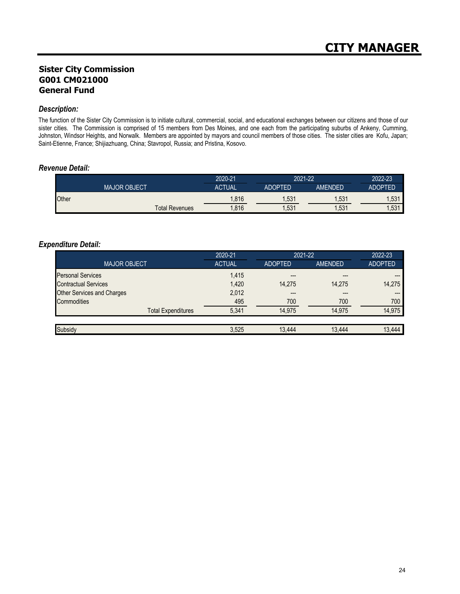## **Sister City Commission G001 CM021000 General Fund**

#### *Description:*

The function of the Sister City Commission is to initiate cultural, commercial, social, and educational exchanges between our citizens and those of our sister cities. The Commission is comprised of 15 members from Des Moines, and one each from the participating suburbs of Ankeny, Cumming, Johnston, Windsor Heights, and Norwalk. Members are appointed by mayors and council members of those cities. The sister cities are Kofu, Japan; Saint-Etienne, France; Shijiazhuang, China; Stavropol, Russia; and Pristina, Kosovo.

#### *Revenue Detail:*

|       |                     | 2020-21       | 2021-22        |         | 2022-23        |
|-------|---------------------|---------------|----------------|---------|----------------|
|       | <b>MAJOR OBJECT</b> | <b>ACTUAL</b> | <b>ADOPTED</b> | AMENDED | <b>ADOPTED</b> |
| Other |                     | .816          | ,531           | .531    | .531           |
|       | Total Revenues      | ,816          | ,531           | .531    | ,531           |

#### *Expenditure Detail:*

|                                   | 2020-21<br>2021-22 |                |                | 2022-23        |
|-----------------------------------|--------------------|----------------|----------------|----------------|
| <b>MAJOR OBJECT</b>               | <b>ACTUAL</b>      | <b>ADOPTED</b> | <b>AMENDED</b> | <b>ADOPTED</b> |
| <b>Personal Services</b>          | 1,415              | ---            |                |                |
| <b>Contractual Services</b>       | 1,420              | 14.275         | 14,275         | 14.275         |
| <b>Other Services and Charges</b> | 2,012              | ---            |                |                |
| Commodities                       | 495                | 700            | 700            | 700            |
| <b>Total Expenditures</b>         | 5.341              | 14.975         | 14.975         | 14,975         |
|                                   |                    |                |                |                |
| Subsidy                           | 3,525              | 13.444         | 13.444         | 13.444         |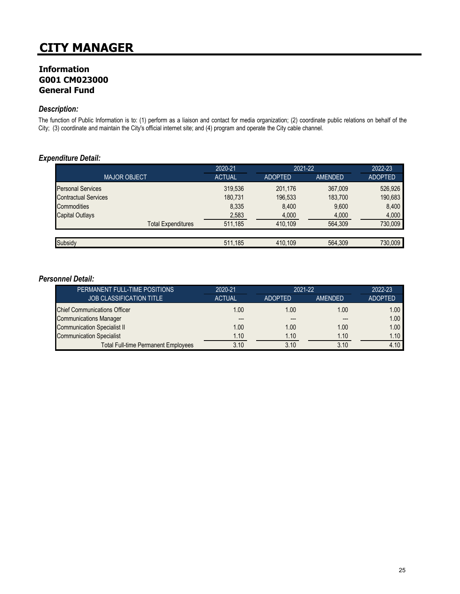## **Information G001 CM023000 General Fund**

#### *Description:*

The function of Public Information is to: (1) perform as a liaison and contact for media organization; (2) coordinate public relations on behalf of the City; (3) coordinate and maintain the City's official internet site; and (4) program and operate the City cable channel.

#### *Expenditure Detail:*

|                             | 2020-21       | 2021-22        |                | 2022-23        |
|-----------------------------|---------------|----------------|----------------|----------------|
| <b>MAJOR OBJECT</b>         | <b>ACTUAL</b> | <b>ADOPTED</b> | <b>AMENDED</b> | <b>ADOPTED</b> |
| <b>Personal Services</b>    | 319,536       | 201.176        | 367.009        | 526,926        |
| <b>Contractual Services</b> | 180.731       | 196,533        | 183.700        | 190,683        |
| Commodities                 | 8.335         | 8.400          | 9,600          | 8,400          |
| <b>Capital Outlays</b>      | 2,583         | 4,000          | 4,000          | 4,000          |
| <b>Total Expenditures</b>   | 511.185       | 410.109        | 564.309        | 730.009        |
|                             |               |                |                |                |
| Subsidy                     | 511,185       | 410.109        | 564.309        | 730.009        |

### *Personnel Detail:*

| PERMANENT FULL-TIME POSITIONS              | 2020-21       | 2021-22        |         | 2022-23        |
|--------------------------------------------|---------------|----------------|---------|----------------|
| <b>JOB CLASSIFICATION TITLE</b>            | <b>ACTUAL</b> | <b>ADOPTED</b> | AMENDED | <b>ADOPTED</b> |
| <b>Chief Communications Officer</b>        | 1.00          | 1.00           | 1.00    | 1.00           |
| <b>Communications Manager</b>              | ---           | ---            | $---$   | 1.00           |
| <b>Communication Specialist II</b>         | 1.00          | 1.00           | 1.00    | 1.00           |
| <b>Communication Specialist</b>            | 1.10          | 1.10           | 1.10    | 1.10           |
| <b>Total Full-time Permanent Employees</b> | 3.10          | 3.10           | 3.10    | 4.10           |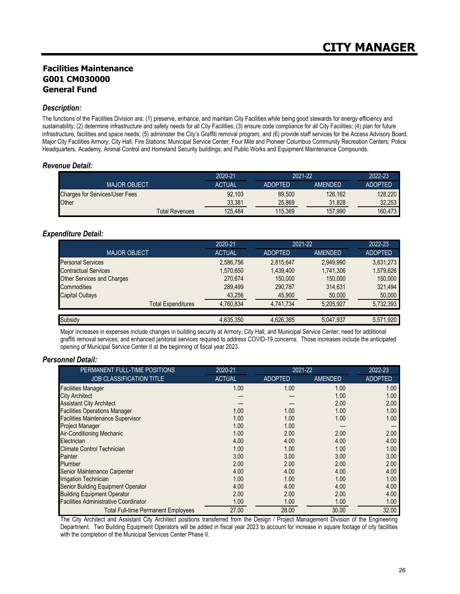## **Facilities Maintenance G001 CM030000 General Fund**

#### *Description:*

The functions of the Facilities Division are: (1) preserve, enhance, and maintain City Facilities while being good stewards for energy efficiency and sustainability; (2) determine infrastructure and safety needs for all City Facilities; (3) ensure code compliance for all City Facilities; (4) plan for future infrastructure, facilities and space needs; (5) administer the City's Graffiti removal program; and (6) provide staff services for the Access Advisory Board. Major City Facilities Armory; City Hall; Fire Stations; Municipal Service Center; Four Mile and Pioneer Columbus Community Recreation Centers; Police Headquarters, Academy, Animal Control and Homeland Security buildings; and Public Works and Equipment Maintenance Compounds.

#### *Revenue Detail:*

|                                       | 2020-21       | 2021-22        |         | 2022-23        |
|---------------------------------------|---------------|----------------|---------|----------------|
| <b>MAJOR OBJECT</b>                   | <b>ACTUAL</b> | <b>ADOPTED</b> | AMENDED | <b>ADOPTED</b> |
| <b>Charges for Services/User Fees</b> | 92.103        | 89.500         | 126.162 | 128,220        |
| Other                                 | 33.381        | 25.869         | 31.828  | 32.253         |
| <b>Total Revenues</b>                 | 125.484       | 115.369        | 157.990 | 160.473        |

#### *Expenditure Detail:*

|                                   | 2020-21       | 2021-22        |                | 2022-23        |
|-----------------------------------|---------------|----------------|----------------|----------------|
| <b>MAJOR OBJECT</b>               | <b>ACTUAL</b> | <b>ADOPTED</b> | <b>AMENDED</b> | <b>ADOPTED</b> |
| <b>Personal Services</b>          | 2,586,756     | 2,815,647      | 2,949,990      | 3,631,273      |
| <b>Contractual Services</b>       | 1,570,650     | 1,439,400      | 1,741,306      | 1,579,626      |
| <b>Other Services and Charges</b> | 270,674       | 150,000        | 150,000        | 150,000        |
| <b>Commodities</b>                | 289,499       | 290,787        | 314,631        | 321,494        |
| <b>Capital Outlays</b>            | 43,256        | 45,900         | 50,000         | 50,000         |
| <b>Total Expenditures</b>         | 4,760,834     | 4,741,734      | 5,205,927      | 5,732,393      |
|                                   |               |                |                |                |
| Subsidy                           | 4,635,350     | 4,626,365      | 5,047,937      | 5,571,920      |

Major increases in expenses include changes in building security at Armory, City Hall, and Municipal Service Center; need for additional graffiti removal services; and enhanced janitorial services required to address COVID-19 concerns. Those increases include the anticipated opening of Municipal Service Center II at the beginning of fiscal year 2023.

#### *Personnel Detail:*

| PERMANENT FULL-TIME POSITIONS                | 2020-21       | 2021-22        |                | 2022-23        |
|----------------------------------------------|---------------|----------------|----------------|----------------|
| <b>JOB CLASSIFICATION TITLE</b>              | <b>ACTUAL</b> | <b>ADOPTED</b> | <b>AMENDED</b> | <b>ADOPTED</b> |
| <b>Facilities Manager</b>                    | 1.00          | 1.00           | 1.00           | 1.00           |
| <b>City Architect</b>                        |               |                | 1.00           | 1.00           |
| <b>Assistant City Architect</b>              |               |                | 2.00           | 2.00           |
| <b>Facilities Operations Manager</b>         | 1.00          | 1.00           | 1.00           | 1.00           |
| <b>Facilities Maintenance Supervisor</b>     | 1.00          | 1.00           | 1.00           | 1.00           |
| <b>Project Manager</b>                       | 1.00          | 1.00           |                |                |
| <b>Air-Conditioning Mechanic</b>             | 1.00          | 2.00           | 2.00           | 2.00           |
| Electrician                                  | 4.00          | 4.00           | 4.00           | 4.00           |
| Climate Control Technician                   | 1.00          | 1.00           | 1.00           | 1.00           |
| Painter                                      | 3.00          | 3.00           | 3.00           | 3.00           |
| Plumber                                      | 2.00          | 2.00           | 2.00           | 2.00           |
| Senior Maintenance Carpenter                 | 4.00          | 4.00           | 4.00           | 4.00           |
| <b>Irrigation Technician</b>                 | 1.00          | 1.00           | 1.00           | 1.00           |
| Senior Building Equipment Operator           | 4.00          | 4.00           | 4.00           | 4.00           |
| <b>Building Equipment Operator</b>           | 2.00          | 2.00           | 2.00           | 4.00           |
| <b>Facilities Administrative Coordinator</b> | 1.00          | 1.00           | 1.00           | 1.00           |
| <b>Total Full-time Permanent Employees</b>   | 27.00         | 28.00          | 30.00          | 32.00          |

The City Architect and Assistant City Architect positions transferred from the Design / Project Management Division of the Engineering Department. Two Building Equipment Operators will be added in fiscal year 2023 to account for increase in square footage of city facilities with the completion of the Municipal Services Center Phase II.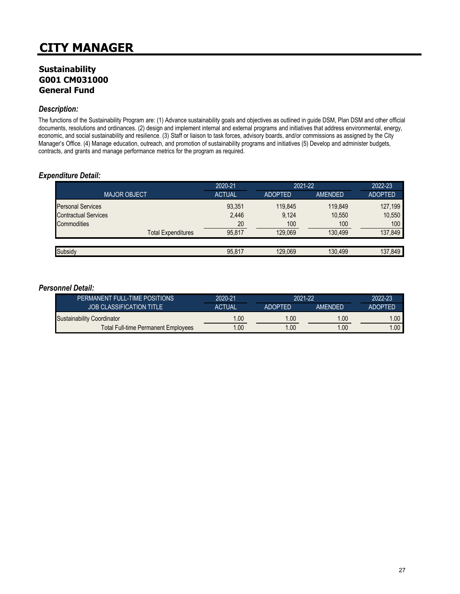## **Sustainability G001 CM031000 General Fund**

#### *Description:*

The functions of the Sustainability Program are: (1) Advance sustainability goals and objectives as outlined in guide DSM, Plan DSM and other official documents, resolutions and ordinances. (2) design and implement internal and external programs and initiatives that address environmental, energy, economic, and social sustainability and resilience. (3) Staff or liaison to task forces, advisory boards, and/or commissions as assigned by the City Manager's Office. (4) Manage education, outreach, and promotion of sustainability programs and initiatives (5) Develop and administer budgets, contracts, and grants and manage performance metrics for the program as required.

### *Expenditure Detail:*

|                             | 2020-21       | 2021-22        |                | 2022-23        |
|-----------------------------|---------------|----------------|----------------|----------------|
| <b>MAJOR OBJECT</b>         | <b>ACTUAL</b> | <b>ADOPTED</b> | <b>AMENDED</b> | <b>ADOPTED</b> |
| <b>Personal Services</b>    | 93,351        | 119.845        | 119.849        | 127,199        |
| <b>Contractual Services</b> | 2,446         | 9.124          | 10,550         | 10,550         |
| Commodities                 | 20            | 100            | 100            | 100            |
| <b>Total Expenditures</b>   | 95.817        | 129.069        | 130.499        | 137,849        |
|                             |               |                |                |                |
| Subsidy                     | 95,817        | 129,069        | 130,499        | 137,849        |

#### *Personnel Detail:*

| PERMANENT FULL-TIME POSITIONS       | 2020-21                         | 2021-22 |                | 2022-23        |
|-------------------------------------|---------------------------------|---------|----------------|----------------|
| <b>JOB CLASSIFICATION TITLE</b>     | <b>ACTUAL</b><br><b>ADOPTED</b> |         | <b>AMENDED</b> | <b>ADOPTED</b> |
| Sustainability Coordinator          | 1.00                            | 1.00    | 1.00           | $.00\,$        |
| Total Full-time Permanent Employees | 1.00                            | 1.00    | 1.00           | .00.           |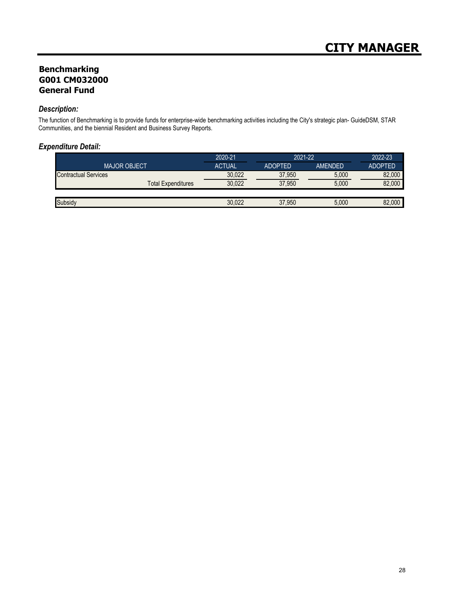## **Benchmarking G001 CM032000 General Fund**

#### *Description:*

The function of Benchmarking is to provide funds for enterprise-wide benchmarking activities including the City's strategic plan- GuideDSM, STAR Communities, and the biennial Resident and Business Survey Reports.

### *Expenditure Detail:*

|                             | 2020-21       | 2021-22        |                | 2022-23        |
|-----------------------------|---------------|----------------|----------------|----------------|
| <b>MAJOR OBJECT</b>         | <b>ACTUAL</b> | <b>ADOPTED</b> | <b>AMENDED</b> | <b>ADOPTED</b> |
| <b>Contractual Services</b> | 30.022        | 37.950         | 5.000          | 82.000         |
| Total Expenditures          | 30.022        | 37,950         | 5.000          | 82,000         |
|                             |               |                |                |                |
| Subsidy                     | 30.022        | 37.950         | 5.000          | 82.000         |